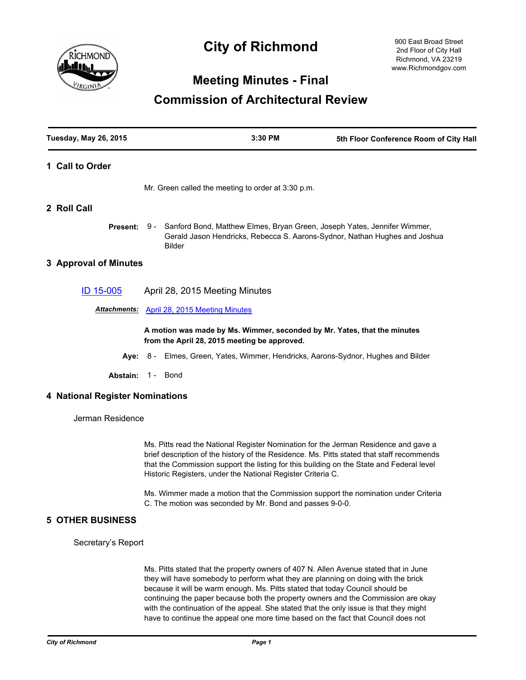

# **City of Richmond**

900 East Broad Street 2nd Floor of City Hall Richmond, VA 23219 www.Richmondgov.com

# **Meeting Minutes - Final**

# **Commission of Architectural Review**

| <b>Tuesday, May 26, 2015</b>    |                   | 3:30 PM                                                                                                                                                                 | 5th Floor Conference Room of City Hall |
|---------------------------------|-------------------|-------------------------------------------------------------------------------------------------------------------------------------------------------------------------|----------------------------------------|
| 1 Call to Order                 |                   |                                                                                                                                                                         |                                        |
|                                 |                   | Mr. Green called the meeting to order at 3:30 p.m.                                                                                                                      |                                        |
| 2 Roll Call                     |                   |                                                                                                                                                                         |                                        |
| Present: 9 -                    |                   | Sanford Bond, Matthew Elmes, Bryan Green, Joseph Yates, Jennifer Wimmer,<br>Gerald Jason Hendricks, Rebecca S. Aarons-Sydnor, Nathan Hughes and Joshua<br><b>Bilder</b> |                                        |
| 3 Approval of Minutes           |                   |                                                                                                                                                                         |                                        |
| ID 15-005                       |                   | April 28, 2015 Meeting Minutes                                                                                                                                          |                                        |
| <b>Attachments:</b>             |                   | <b>April 28, 2015 Meeting Minutes</b>                                                                                                                                   |                                        |
|                                 |                   | A motion was made by Ms. Wimmer, seconded by Mr. Yates, that the minutes<br>from the April 28, 2015 meeting be approved.                                                |                                        |
|                                 | Aye: $8-$         | Elmes, Green, Yates, Wimmer, Hendricks, Aarons-Sydnor, Hughes and Bilder                                                                                                |                                        |
|                                 | Abstain: 1 - Bond |                                                                                                                                                                         |                                        |
| 4 National Register Nominations |                   |                                                                                                                                                                         |                                        |
| Jerman Residence                |                   |                                                                                                                                                                         |                                        |
|                                 |                   | Ms. Pitts read the National Register Nomination for the Jerman Residence and gave a                                                                                     |                                        |

brief description of the history of the Residence. Ms. Pitts stated that staff recommends that the Commission support the listing for this building on the State and Federal level Historic Registers, under the National Register Criteria C.

Ms. Wimmer made a motion that the Commission support the nomination under Criteria C. The motion was seconded by Mr. Bond and passes 9-0-0.

# **5 OTHER BUSINESS**

Secretary's Report

Ms. Pitts stated that the property owners of 407 N. Allen Avenue stated that in June they will have somebody to perform what they are planning on doing with the brick because it will be warm enough. Ms. Pitts stated that today Council should be continuing the paper because both the property owners and the Commission are okay with the continuation of the appeal. She stated that the only issue is that they might have to continue the appeal one more time based on the fact that Council does not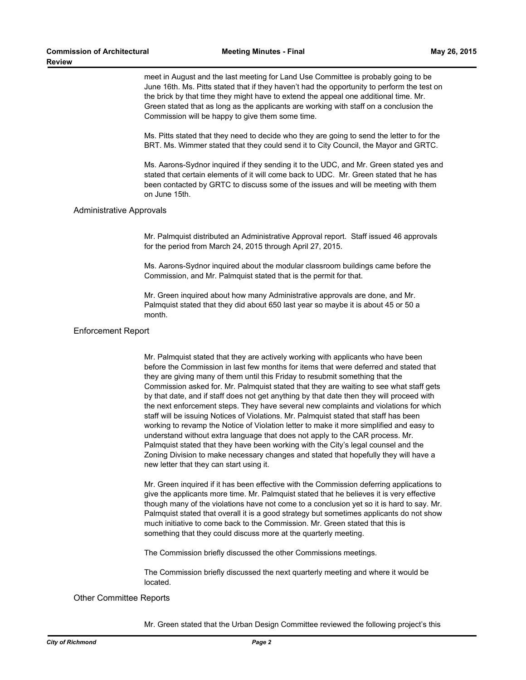meet in August and the last meeting for Land Use Committee is probably going to be June 16th. Ms. Pitts stated that if they haven't had the opportunity to perform the test on the brick by that time they might have to extend the appeal one additional time. Mr. Green stated that as long as the applicants are working with staff on a conclusion the Commission will be happy to give them some time.

Ms. Pitts stated that they need to decide who they are going to send the letter to for the BRT. Ms. Wimmer stated that they could send it to City Council, the Mayor and GRTC.

Ms. Aarons-Sydnor inquired if they sending it to the UDC, and Mr. Green stated yes and stated that certain elements of it will come back to UDC. Mr. Green stated that he has been contacted by GRTC to discuss some of the issues and will be meeting with them on June 15th.

# Administrative Approvals

Mr. Palmquist distributed an Administrative Approval report. Staff issued 46 approvals for the period from March 24, 2015 through April 27, 2015.

Ms. Aarons-Sydnor inquired about the modular classroom buildings came before the Commission, and Mr. Palmquist stated that is the permit for that.

Mr. Green inquired about how many Administrative approvals are done, and Mr. Palmquist stated that they did about 650 last year so maybe it is about 45 or 50 a month.

### Enforcement Report

Mr. Palmquist stated that they are actively working with applicants who have been before the Commission in last few months for items that were deferred and stated that they are giving many of them until this Friday to resubmit something that the Commission asked for. Mr. Palmquist stated that they are waiting to see what staff gets by that date, and if staff does not get anything by that date then they will proceed with the next enforcement steps. They have several new complaints and violations for which staff will be issuing Notices of Violations. Mr. Palmquist stated that staff has been working to revamp the Notice of Violation letter to make it more simplified and easy to understand without extra language that does not apply to the CAR process. Mr. Palmquist stated that they have been working with the City's legal counsel and the Zoning Division to make necessary changes and stated that hopefully they will have a new letter that they can start using it.

Mr. Green inquired if it has been effective with the Commission deferring applications to give the applicants more time. Mr. Palmquist stated that he believes it is very effective though many of the violations have not come to a conclusion yet so it is hard to say. Mr. Palmquist stated that overall it is a good strategy but sometimes applicants do not show much initiative to come back to the Commission. Mr. Green stated that this is something that they could discuss more at the quarterly meeting.

The Commission briefly discussed the other Commissions meetings.

The Commission briefly discussed the next quarterly meeting and where it would be located.

# Other Committee Reports

Mr. Green stated that the Urban Design Committee reviewed the following project's this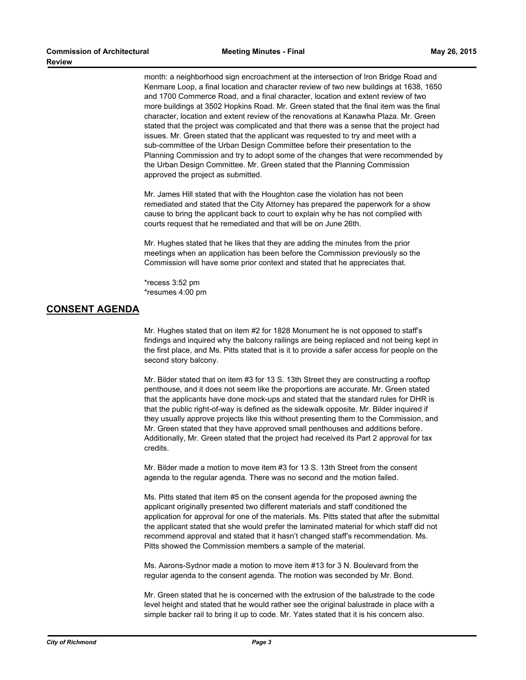month: a neighborhood sign encroachment at the intersection of Iron Bridge Road and Kenmare Loop, a final location and character review of two new buildings at 1638, 1650 and 1700 Commerce Road, and a final character, location and extent review of two more buildings at 3502 Hopkins Road. Mr. Green stated that the final item was the final character, location and extent review of the renovations at Kanawha Plaza. Mr. Green stated that the project was complicated and that there was a sense that the project had issues. Mr. Green stated that the applicant was requested to try and meet with a sub-committee of the Urban Design Committee before their presentation to the Planning Commission and try to adopt some of the changes that were recommended by the Urban Design Committee. Mr. Green stated that the Planning Commission approved the project as submitted.

Mr. James Hill stated that with the Houghton case the violation has not been remediated and stated that the City Attorney has prepared the paperwork for a show cause to bring the applicant back to court to explain why he has not complied with courts request that he remediated and that will be on June 26th.

Mr. Hughes stated that he likes that they are adding the minutes from the prior meetings when an application has been before the Commission previously so the Commission will have some prior context and stated that he appreciates that.

\*recess 3:52 pm \*resumes 4:00 pm

# **CONSENT AGENDA**

Mr. Hughes stated that on item #2 for 1828 Monument he is not opposed to staff's findings and inquired why the balcony railings are being replaced and not being kept in the first place, and Ms. Pitts stated that is it to provide a safer access for people on the second story balcony.

Mr. Bilder stated that on item #3 for 13 S. 13th Street they are constructing a rooftop penthouse, and it does not seem like the proportions are accurate. Mr. Green stated that the applicants have done mock-ups and stated that the standard rules for DHR is that the public right-of-way is defined as the sidewalk opposite. Mr. Bilder inquired if they usually approve projects like this without presenting them to the Commission, and Mr. Green stated that they have approved small penthouses and additions before. Additionally, Mr. Green stated that the project had received its Part 2 approval for tax credits.

Mr. Bilder made a motion to move item #3 for 13 S. 13th Street from the consent agenda to the regular agenda. There was no second and the motion failed.

Ms. Pitts stated that item #5 on the consent agenda for the proposed awning the applicant originally presented two different materials and staff conditioned the application for approval for one of the materials. Ms. Pitts stated that after the submittal the applicant stated that she would prefer the laminated material for which staff did not recommend approval and stated that it hasn't changed staff's recommendation. Ms. Pitts showed the Commission members a sample of the material.

Ms. Aarons-Sydnor made a motion to move item #13 for 3 N. Boulevard from the regular agenda to the consent agenda. The motion was seconded by Mr. Bond.

Mr. Green stated that he is concerned with the extrusion of the balustrade to the code level height and stated that he would rather see the original balustrade in place with a simple backer rail to bring it up to code. Mr. Yates stated that it is his concern also.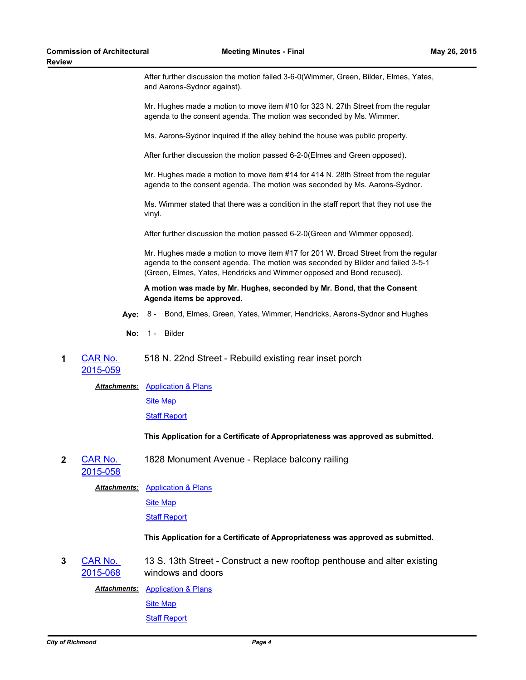After further discussion the motion failed 3-6-0(Wimmer, Green, Bilder, Elmes, Yates, and Aarons-Sydnor against).

Mr. Hughes made a motion to move item #10 for 323 N. 27th Street from the regular agenda to the consent agenda. The motion was seconded by Ms. Wimmer.

Ms. Aarons-Sydnor inquired if the alley behind the house was public property.

After further discussion the motion passed 6-2-0(Elmes and Green opposed).

Mr. Hughes made a motion to move item #14 for 414 N. 28th Street from the regular agenda to the consent agenda. The motion was seconded by Ms. Aarons-Sydnor.

Ms. Wimmer stated that there was a condition in the staff report that they not use the vinyl.

After further discussion the motion passed 6-2-0(Green and Wimmer opposed).

Mr. Hughes made a motion to move item #17 for 201 W. Broad Street from the regular agenda to the consent agenda. The motion was seconded by Bilder and failed 3-5-1 (Green, Elmes, Yates, Hendricks and Wimmer opposed and Bond recused).

# **A motion was made by Mr. Hughes, seconded by Mr. Bond, that the Consent Agenda items be approved.**

- **Aye:** 8 Bond, Elmes, Green, Yates, Wimmer, Hendricks, Aarons-Sydnor and Hughes
- No: 1 Bilder

#### **1** CAR No. [2015-059](http://richmondva.legistar.com/gateway.aspx?m=l&id=/matter.aspx?key=21044) 518 N. 22nd Street - Rebuild existing rear inset porch

**Attachments: [Application & Plans](http://richmondva.legistar.com/gateway.aspx?M=F&ID=e5d44b9e-fb79-4514-9b49-63e3ded68732.pdf)** 

[Site Map](http://richmondva.legistar.com/gateway.aspx?M=F&ID=498f4a56-65ae-49ff-8ac3-a69880804bd2.pdf)

**[Staff Report](http://richmondva.legistar.com/gateway.aspx?M=F&ID=d5bfd715-3a75-4fe7-a79c-976b429667d8.pdf)** 

# **This Application for a Certificate of Appropriateness was approved as submitted.**

**2** CAR No. 1828 Monument Avenue - Replace balcony railing

# [2015-058](http://richmondva.legistar.com/gateway.aspx?m=l&id=/matter.aspx?key=21045)

# **Attachments: [Application & Plans](http://richmondva.legistar.com/gateway.aspx?M=F&ID=3d86ae8d-ad94-42fc-b8d2-e1a665430232.pdf)**

[Site Map](http://richmondva.legistar.com/gateway.aspx?M=F&ID=78147a23-3099-4118-a50a-94c09bf1c18d.pdf)

[Staff Report](http://richmondva.legistar.com/gateway.aspx?M=F&ID=e4f2281e-5550-4fa4-b1dc-27d1bf2baced.pdf)

# **This Application for a Certificate of Appropriateness was approved as submitted.**

**3** CAR No. [2015-068](http://richmondva.legistar.com/gateway.aspx?m=l&id=/matter.aspx?key=21046) 13 S. 13th Street - Construct a new rooftop penthouse and alter existing windows and doors

**Attachments: [Application & Plans](http://richmondva.legistar.com/gateway.aspx?M=F&ID=8d6d702e-9437-4ef3-bdc3-c7a2c7e5a5fc.pdf)** 

[Site Map](http://richmondva.legistar.com/gateway.aspx?M=F&ID=03dea52b-b6f6-4a2d-8e46-24595b256b0c.pdf)

# **[Staff Report](http://richmondva.legistar.com/gateway.aspx?M=F&ID=441ac509-6f8e-4d6d-be38-c3698bbf3e30.pdf)**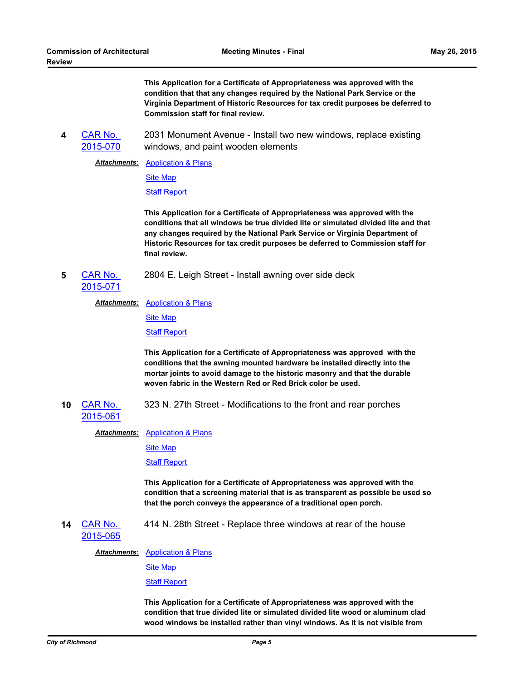**This Application for a Certificate of Appropriateness was approved with the condition that that any changes required by the National Park Service or the Virginia Department of Historic Resources for tax credit purposes be deferred to Commission staff for final review.**

**4** CAR No. [2015-070](http://richmondva.legistar.com/gateway.aspx?m=l&id=/matter.aspx?key=21047) 2031 Monument Avenue - Install two new windows, replace existing windows, and paint wooden elements

**Attachments: [Application & Plans](http://richmondva.legistar.com/gateway.aspx?M=F&ID=0ee42638-ce03-4655-b878-2840b5051f9d.pdf)** 

[Site Map](http://richmondva.legistar.com/gateway.aspx?M=F&ID=0a69ee4d-2933-48b7-8889-7e1c5b63c479.pdf)

[Staff Report](http://richmondva.legistar.com/gateway.aspx?M=F&ID=07bdb218-a3d3-44f0-9131-8e34e44e2a82.pdf)

**This Application for a Certificate of Appropriateness was approved with the conditions that all windows be true divided lite or simulated divided lite and that any changes required by the National Park Service or Virginia Department of Historic Resources for tax credit purposes be deferred to Commission staff for final review.**

- **5** CAR No. 2804 E. Leigh Street - Install awning over side deck
- [2015-071](http://richmondva.legistar.com/gateway.aspx?m=l&id=/matter.aspx?key=21048)

**Attachments: [Application & Plans](http://richmondva.legistar.com/gateway.aspx?M=F&ID=5a0f21f9-4bac-4486-98c4-12d7c21dd915.pdf)** 

[Site Map](http://richmondva.legistar.com/gateway.aspx?M=F&ID=ccfe4821-cb2b-44ed-9d9b-0b75105e0774.pdf)

[Staff Report](http://richmondva.legistar.com/gateway.aspx?M=F&ID=fffbac6a-53fe-4b08-90ed-a004189c8e3c.pdf)

**This Application for a Certificate of Appropriateness was approved with the conditions that the awning mounted hardware be installed directly into the mortar joints to avoid damage to the historic masonry and that the durable woven fabric in the Western Red or Red Brick color be used.**

**10** CAR No. 323 N. 27th Street - Modifications to the front and rear porches

[2015-061](http://richmondva.legistar.com/gateway.aspx?m=l&id=/matter.aspx?key=21052)

**Attachments: [Application & Plans](http://richmondva.legistar.com/gateway.aspx?M=F&ID=765ade94-f20f-4763-94bd-d4ce00316dc3.pdf)** 

[Site Map](http://richmondva.legistar.com/gateway.aspx?M=F&ID=c479dbaa-f075-4421-9625-d9e489c8ef8b.pdf)

[Staff Report](http://richmondva.legistar.com/gateway.aspx?M=F&ID=d85a690a-68b4-42b2-892a-57a5ad2955f5.pdf)

**This Application for a Certificate of Appropriateness was approved with the condition that a screening material that is as transparent as possible be used so that the porch conveys the appearance of a traditional open porch.**

**14** CAR No. [2015-065](http://richmondva.legistar.com/gateway.aspx?m=l&id=/matter.aspx?key=21056) 414 N. 28th Street - Replace three windows at rear of the house

**Attachments: [Application & Plans](http://richmondva.legistar.com/gateway.aspx?M=F&ID=503b65cb-3c6d-41f5-94d3-451da439ba05.pdf)** 

**[Site Map](http://richmondva.legistar.com/gateway.aspx?M=F&ID=0053ea71-5a69-44f2-9fc6-84432fb1864a.pdf)** 

[Staff Report](http://richmondva.legistar.com/gateway.aspx?M=F&ID=4043bd70-faf9-4a92-b6de-4892dd1fcdda.pdf)

**This Application for a Certificate of Appropriateness was approved with the condition that true divided lite or simulated divided lite wood or aluminum clad wood windows be installed rather than vinyl windows. As it is not visible from**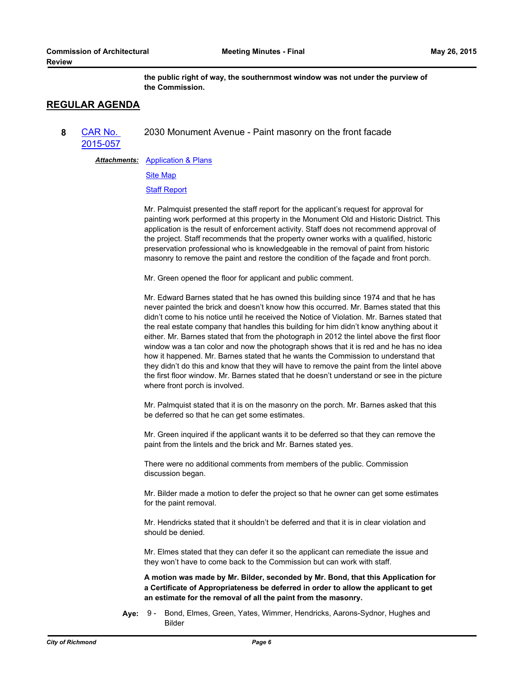**the public right of way, the southernmost window was not under the purview of the Commission.**

# **REGULAR AGENDA**

**8** CAR No. [2015-057](http://richmondva.legistar.com/gateway.aspx?m=l&id=/matter.aspx?key=21050) 2030 Monument Avenue - Paint masonry on the front facade

**Attachments: [Application & Plans](http://richmondva.legistar.com/gateway.aspx?M=F&ID=21647d18-121c-4689-8ab7-c8b8d5fe3fac.pdf)** 

[Site Map](http://richmondva.legistar.com/gateway.aspx?M=F&ID=cec9ddcf-4f8a-4829-a382-714d07462bd7.pdf)

[Staff Report](http://richmondva.legistar.com/gateway.aspx?M=F&ID=bcf71e63-ec29-40fc-9bb3-662fa18333f9.pdf)

Mr. Palmquist presented the staff report for the applicant's request for approval for painting work performed at this property in the Monument Old and Historic District. This application is the result of enforcement activity. Staff does not recommend approval of the project. Staff recommends that the property owner works with a qualified, historic preservation professional who is knowledgeable in the removal of paint from historic masonry to remove the paint and restore the condition of the façade and front porch.

Mr. Green opened the floor for applicant and public comment.

Mr. Edward Barnes stated that he has owned this building since 1974 and that he has never painted the brick and doesn't know how this occurred. Mr. Barnes stated that this didn't come to his notice until he received the Notice of Violation. Mr. Barnes stated that the real estate company that handles this building for him didn't know anything about it either. Mr. Barnes stated that from the photograph in 2012 the lintel above the first floor window was a tan color and now the photograph shows that it is red and he has no idea how it happened. Mr. Barnes stated that he wants the Commission to understand that they didn't do this and know that they will have to remove the paint from the lintel above the first floor window. Mr. Barnes stated that he doesn't understand or see in the picture where front porch is involved.

Mr. Palmquist stated that it is on the masonry on the porch. Mr. Barnes asked that this be deferred so that he can get some estimates.

Mr. Green inquired if the applicant wants it to be deferred so that they can remove the paint from the lintels and the brick and Mr. Barnes stated yes.

There were no additional comments from members of the public. Commission discussion began.

Mr. Bilder made a motion to defer the project so that he owner can get some estimates for the paint removal.

Mr. Hendricks stated that it shouldn't be deferred and that it is in clear violation and should be denied.

Mr. Elmes stated that they can defer it so the applicant can remediate the issue and they won't have to come back to the Commission but can work with staff.

**A motion was made by Mr. Bilder, seconded by Mr. Bond, that this Application for a Certificate of Appropriateness be deferred in order to allow the applicant to get an estimate for the removal of all the paint from the masonry.**

**Aye:** Bond, Elmes, Green, Yates, Wimmer, Hendricks, Aarons-Sydnor, Hughes and Bilder Aye: 9 -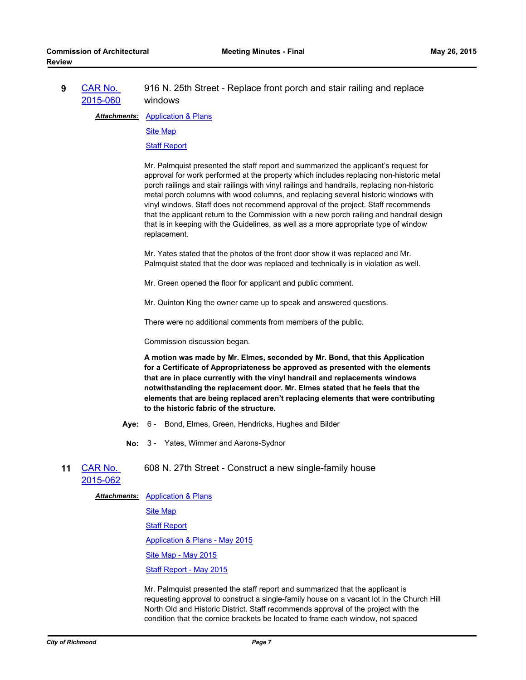#### **9** CAR No. [2015-060](http://richmondva.legistar.com/gateway.aspx?m=l&id=/matter.aspx?key=21051) 916 N. 25th Street - Replace front porch and stair railing and replace windows

**Attachments: [Application & Plans](http://richmondva.legistar.com/gateway.aspx?M=F&ID=d27b255a-0419-4507-9f37-24d3c1cbecc7.pdf)** 

[Site Map](http://richmondva.legistar.com/gateway.aspx?M=F&ID=57efabe4-6b54-4149-87dd-f68b8149cc6e.pdf)

**[Staff Report](http://richmondva.legistar.com/gateway.aspx?M=F&ID=f8ee663e-164f-4341-82d7-91951ba2bf9b.pdf)** 

Mr. Palmquist presented the staff report and summarized the applicant's request for approval for work performed at the property which includes replacing non-historic metal porch railings and stair railings with vinyl railings and handrails, replacing non-historic metal porch columns with wood columns, and replacing several historic windows with vinyl windows. Staff does not recommend approval of the project. Staff recommends that the applicant return to the Commission with a new porch railing and handrail design that is in keeping with the Guidelines, as well as a more appropriate type of window replacement.

Mr. Yates stated that the photos of the front door show it was replaced and Mr. Palmquist stated that the door was replaced and technically is in violation as well.

Mr. Green opened the floor for applicant and public comment.

Mr. Quinton King the owner came up to speak and answered questions.

There were no additional comments from members of the public.

Commission discussion began.

**A motion was made by Mr. Elmes, seconded by Mr. Bond, that this Application for a Certificate of Appropriateness be approved as presented with the elements that are in place currently with the vinyl handrail and replacements windows notwithstanding the replacement door. Mr. Elmes stated that he feels that the elements that are being replaced aren't replacing elements that were contributing to the historic fabric of the structure.**

- **Aye:** 6 Bond, Elmes, Green, Hendricks, Hughes and Bilder
- **No:** 3 Yates, Wimmer and Aarons-Sydnor
- **11** CAR No. [2015-062](http://richmondva.legistar.com/gateway.aspx?m=l&id=/matter.aspx?key=21053) 608 N. 27th Street - Construct a new single-family house

**Attachments: [Application & Plans](http://richmondva.legistar.com/gateway.aspx?M=F&ID=9bd5f6e1-5257-4f9a-8f2a-e848e8ab09be.pdf)** 

[Site Map](http://richmondva.legistar.com/gateway.aspx?M=F&ID=cee3b2a0-5c57-4b55-8f2c-3d2055dbe40b.pdf)

[Staff Report](http://richmondva.legistar.com/gateway.aspx?M=F&ID=762677c9-e399-488b-ae8c-30ad74b59ccf.pdf)

[Application & Plans - May 2015](http://richmondva.legistar.com/gateway.aspx?M=F&ID=896db10d-ec80-43d8-815a-55bc71d935de.pdf)

[Site Map - May 2015](http://richmondva.legistar.com/gateway.aspx?M=F&ID=fbfd4f41-08b8-45ce-b4e2-b32e8e206cae.pdf)

[Staff Report - May 2015](http://richmondva.legistar.com/gateway.aspx?M=F&ID=b68f4a1b-baa5-4874-9758-99b32d2070d9.pdf)

Mr. Palmquist presented the staff report and summarized that the applicant is requesting approval to construct a single-family house on a vacant lot in the Church Hill North Old and Historic District. Staff recommends approval of the project with the condition that the cornice brackets be located to frame each window, not spaced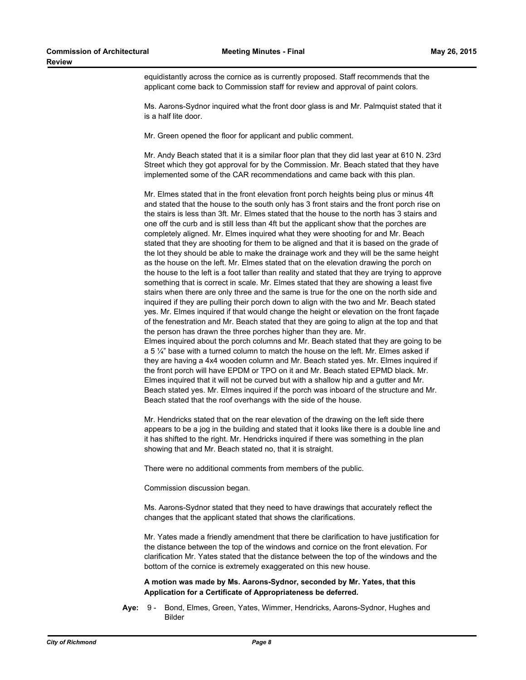equidistantly across the cornice as is currently proposed. Staff recommends that the applicant come back to Commission staff for review and approval of paint colors.

Ms. Aarons-Sydnor inquired what the front door glass is and Mr. Palmquist stated that it is a half lite door.

Mr. Green opened the floor for applicant and public comment.

Mr. Andy Beach stated that it is a similar floor plan that they did last year at 610 N. 23rd Street which they got approval for by the Commission. Mr. Beach stated that they have implemented some of the CAR recommendations and came back with this plan.

Mr. Elmes stated that in the front elevation front porch heights being plus or minus 4ft and stated that the house to the south only has 3 front stairs and the front porch rise on the stairs is less than 3ft. Mr. Elmes stated that the house to the north has 3 stairs and one off the curb and is still less than 4ft but the applicant show that the porches are completely aligned. Mr. Elmes inquired what they were shooting for and Mr. Beach stated that they are shooting for them to be aligned and that it is based on the grade of the lot they should be able to make the drainage work and they will be the same height as the house on the left. Mr. Elmes stated that on the elevation drawing the porch on the house to the left is a foot taller than reality and stated that they are trying to approve something that is correct in scale. Mr. Elmes stated that they are showing a least five stairs when there are only three and the same is true for the one on the north side and inquired if they are pulling their porch down to align with the two and Mr. Beach stated yes. Mr. Elmes inquired if that would change the height or elevation on the front façade of the fenestration and Mr. Beach stated that they are going to align at the top and that the person has drawn the three porches higher than they are. Mr. Elmes inquired about the porch columns and Mr. Beach stated that they are going to be a 5  $\frac{1}{4}$ " base with a turned column to match the house on the left. Mr. Elmes asked if they are having a 4x4 wooden column and Mr. Beach stated yes. Mr. Elmes inquired if the front porch will have EPDM or TPO on it and Mr. Beach stated EPMD black. Mr. Elmes inquired that it will not be curved but with a shallow hip and a gutter and Mr. Beach stated yes. Mr. Elmes inquired if the porch was inboard of the structure and Mr. Beach stated that the roof overhangs with the side of the house.

Mr. Hendricks stated that on the rear elevation of the drawing on the left side there appears to be a jog in the building and stated that it looks like there is a double line and it has shifted to the right. Mr. Hendricks inquired if there was something in the plan showing that and Mr. Beach stated no, that it is straight.

There were no additional comments from members of the public.

Commission discussion began.

Ms. Aarons-Sydnor stated that they need to have drawings that accurately reflect the changes that the applicant stated that shows the clarifications.

Mr. Yates made a friendly amendment that there be clarification to have justification for the distance between the top of the windows and cornice on the front elevation. For clarification Mr. Yates stated that the distance between the top of the windows and the bottom of the cornice is extremely exaggerated on this new house.

# **A motion was made by Ms. Aarons-Sydnor, seconded by Mr. Yates, that this Application for a Certificate of Appropriateness be deferred.**

**Aye:** Bond, Elmes, Green, Yates, Wimmer, Hendricks, Aarons-Sydnor, Hughes and Bilder Ave: 9 -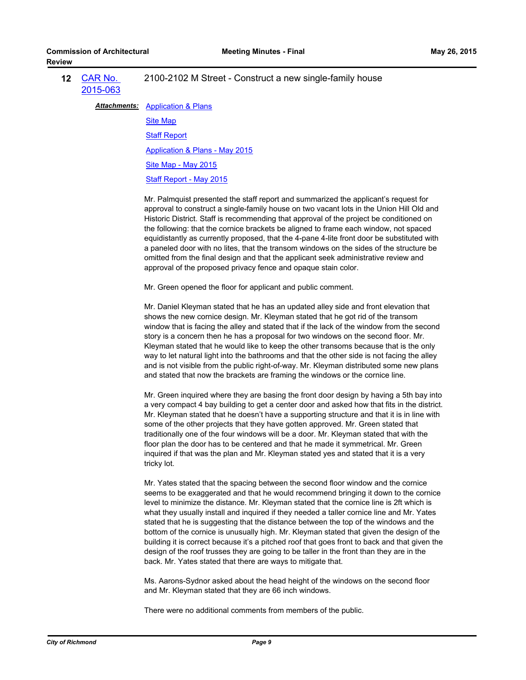| <b>12 CAR No.</b><br>2015-063 | 2100-2102 M Street - Construct a new single-family house |
|-------------------------------|----------------------------------------------------------|
|                               | <b>Attachments:</b> Application & Plans                  |

[Site Map](http://richmondva.legistar.com/gateway.aspx?M=F&ID=67c2b074-ec01-4dfc-a82e-b772ce2ff2fc.pdf) [Staff Report](http://richmondva.legistar.com/gateway.aspx?M=F&ID=0ea74fbb-93b2-4dd8-94bd-757b98cf1ee8.pdf) [Application & Plans - May 2015](http://richmondva.legistar.com/gateway.aspx?M=F&ID=12384b32-9394-47d8-9872-b9a1a756dfa3.pdf) [Site Map - May 2015](http://richmondva.legistar.com/gateway.aspx?M=F&ID=6086d520-803a-4cf5-b2e9-afacea15ee82.pdf)

[Staff Report - May 2015](http://richmondva.legistar.com/gateway.aspx?M=F&ID=bf1342c9-7dbf-4008-9fd7-7e8b1d19cc73.pdf)

Mr. Palmquist presented the staff report and summarized the applicant's request for approval to construct a single-family house on two vacant lots in the Union Hill Old and Historic District. Staff is recommending that approval of the project be conditioned on the following: that the cornice brackets be aligned to frame each window, not spaced equidistantly as currently proposed, that the 4-pane 4-lite front door be substituted with a paneled door with no lites, that the transom windows on the sides of the structure be omitted from the final design and that the applicant seek administrative review and approval of the proposed privacy fence and opaque stain color.

Mr. Green opened the floor for applicant and public comment.

Mr. Daniel Kleyman stated that he has an updated alley side and front elevation that shows the new cornice design. Mr. Kleyman stated that he got rid of the transom window that is facing the alley and stated that if the lack of the window from the second story is a concern then he has a proposal for two windows on the second floor. Mr. Kleyman stated that he would like to keep the other transoms because that is the only way to let natural light into the bathrooms and that the other side is not facing the alley and is not visible from the public right-of-way. Mr. Kleyman distributed some new plans and stated that now the brackets are framing the windows or the cornice line.

Mr. Green inquired where they are basing the front door design by having a 5th bay into a very compact 4 bay building to get a center door and asked how that fits in the district. Mr. Kleyman stated that he doesn't have a supporting structure and that it is in line with some of the other projects that they have gotten approved. Mr. Green stated that traditionally one of the four windows will be a door. Mr. Kleyman stated that with the floor plan the door has to be centered and that he made it symmetrical. Mr. Green inquired if that was the plan and Mr. Kleyman stated yes and stated that it is a very tricky lot.

Mr. Yates stated that the spacing between the second floor window and the cornice seems to be exaggerated and that he would recommend bringing it down to the cornice level to minimize the distance. Mr. Kleyman stated that the cornice line is 2ft which is what they usually install and inquired if they needed a taller cornice line and Mr. Yates stated that he is suggesting that the distance between the top of the windows and the bottom of the cornice is unusually high. Mr. Kleyman stated that given the design of the building it is correct because it's a pitched roof that goes front to back and that given the design of the roof trusses they are going to be taller in the front than they are in the back. Mr. Yates stated that there are ways to mitigate that.

Ms. Aarons-Sydnor asked about the head height of the windows on the second floor and Mr. Kleyman stated that they are 66 inch windows.

There were no additional comments from members of the public.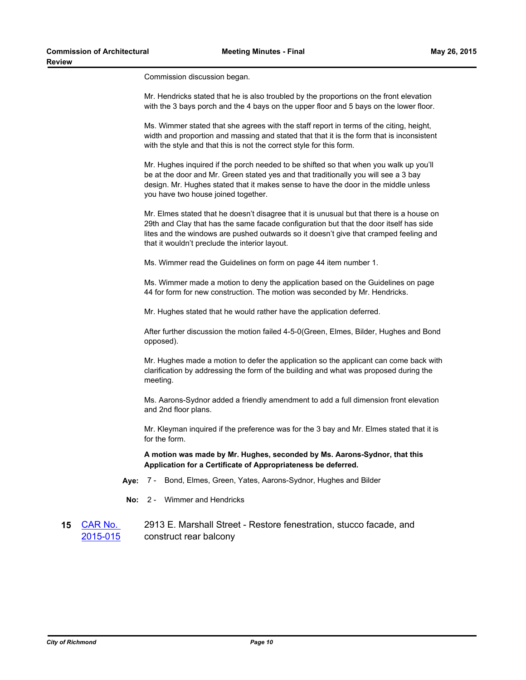Commission discussion began.

| Mr. Hendricks stated that he is also troubled by the proportions on the front elevation |
|-----------------------------------------------------------------------------------------|
| with the 3 bays porch and the 4 bays on the upper floor and 5 bays on the lower floor.  |

Ms. Wimmer stated that she agrees with the staff report in terms of the citing, height, width and proportion and massing and stated that that it is the form that is inconsistent with the style and that this is not the correct style for this form.

Mr. Hughes inquired if the porch needed to be shifted so that when you walk up you'll be at the door and Mr. Green stated yes and that traditionally you will see a 3 bay design. Mr. Hughes stated that it makes sense to have the door in the middle unless you have two house joined together.

Mr. Elmes stated that he doesn't disagree that it is unusual but that there is a house on 29th and Clay that has the same facade configuration but that the door itself has side lites and the windows are pushed outwards so it doesn't give that cramped feeling and that it wouldn't preclude the interior layout.

Ms. Wimmer read the Guidelines on form on page 44 item number 1.

Ms. Wimmer made a motion to deny the application based on the Guidelines on page 44 for form for new construction. The motion was seconded by Mr. Hendricks.

Mr. Hughes stated that he would rather have the application deferred.

After further discussion the motion failed 4-5-0(Green, Elmes, Bilder, Hughes and Bond opposed).

Mr. Hughes made a motion to defer the application so the applicant can come back with clarification by addressing the form of the building and what was proposed during the meeting.

Ms. Aarons-Sydnor added a friendly amendment to add a full dimension front elevation and 2nd floor plans.

Mr. Kleyman inquired if the preference was for the 3 bay and Mr. Elmes stated that it is for the form.

**A motion was made by Mr. Hughes, seconded by Ms. Aarons-Sydnor, that this Application for a Certificate of Appropriateness be deferred.**

- **Aye:** 7 Bond, Elmes, Green, Yates, Aarons-Sydnor, Hughes and Bilder
- **No:** 2 Wimmer and Hendricks

#### **15** CAR No. [2015-015](http://richmondva.legistar.com/gateway.aspx?m=l&id=/matter.aspx?key=20816) 2913 E. Marshall Street - Restore fenestration, stucco facade, and construct rear balcony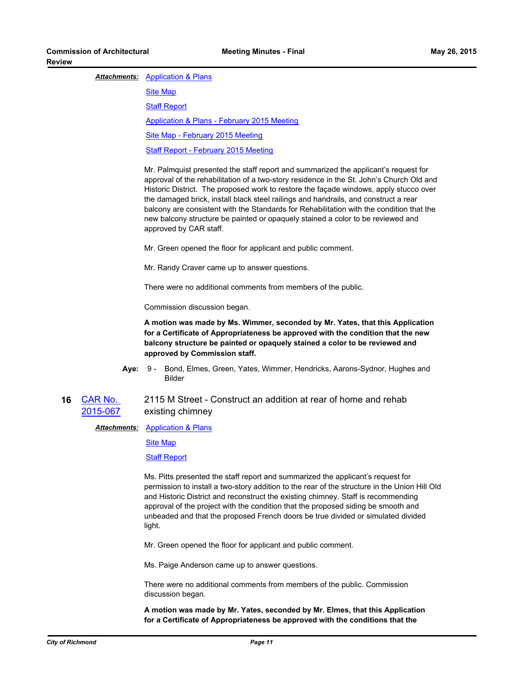### **Attachments: [Application & Plans](http://richmondva.legistar.com/gateway.aspx?M=F&ID=695d708c-a7e7-43a4-9fab-a92d718192cb.pdf)**

[Site Map](http://richmondva.legistar.com/gateway.aspx?M=F&ID=3d49f8c4-0333-4298-a686-e4369fb057ef.pdf) [Staff Report](http://richmondva.legistar.com/gateway.aspx?M=F&ID=f7a3dea2-8879-4f11-84ed-199a8201521b.pdf) [Application & Plans - February 2015 Meeting](http://richmondva.legistar.com/gateway.aspx?M=F&ID=94d999a9-53cd-475e-a3ba-3f1ecdefe7fa.pdf) [Site Map - February 2015 Meeting](http://richmondva.legistar.com/gateway.aspx?M=F&ID=b3830106-0d17-4332-afb4-14d1db5843bb.pdf) [Staff Report - February 2015 Meeting](http://richmondva.legistar.com/gateway.aspx?M=F&ID=eb44700c-e763-4c44-bf91-426ca83f0422.pdf)

Mr. Palmquist presented the staff report and summarized the applicant's request for approval of the rehabilitation of a two-story residence in the St. John's Church Old and Historic District. The proposed work to restore the façade windows, apply stucco over the damaged brick, install black steel railings and handrails, and construct a rear balcony are consistent with the Standards for Rehabilitation with the condition that the new balcony structure be painted or opaquely stained a color to be reviewed and approved by CAR staff.

Mr. Green opened the floor for applicant and public comment.

Mr. Randy Craver came up to answer questions.

There were no additional comments from members of the public.

Commission discussion began.

**A motion was made by Ms. Wimmer, seconded by Mr. Yates, that this Application for a Certificate of Appropriateness be approved with the condition that the new balcony structure be painted or opaquely stained a color to be reviewed and approved by Commission staff.**

**Aye:** Bond, Elmes, Green, Yates, Wimmer, Hendricks, Aarons-Sydnor, Hughes and Bilder Aye: 9 -

#### **16** CAR No. [2015-067](http://richmondva.legistar.com/gateway.aspx?m=l&id=/matter.aspx?key=21057) 2115 M Street - Construct an addition at rear of home and rehab existing chimney

**Attachments: [Application & Plans](http://richmondva.legistar.com/gateway.aspx?M=F&ID=2fe7f1d7-ce15-420f-b5d3-dab91e65ee97.pdf)** 

[Site Map](http://richmondva.legistar.com/gateway.aspx?M=F&ID=606e74c9-33d0-444b-9779-2d6f8922506b.pdf)

[Staff Report](http://richmondva.legistar.com/gateway.aspx?M=F&ID=2e4c4717-63d3-4a25-8a6f-fe433da690eb.pdf)

Ms. Pitts presented the staff report and summarized the applicant's request for permission to install a two-story addition to the rear of the structure in the Union Hill Old and Historic District and reconstruct the existing chimney. Staff is recommending approval of the project with the condition that the proposed siding be smooth and unbeaded and that the proposed French doors be true divided or simulated divided light.

Mr. Green opened the floor for applicant and public comment.

Ms. Paige Anderson came up to answer questions.

There were no additional comments from members of the public. Commission discussion began.

**A motion was made by Mr. Yates, seconded by Mr. Elmes, that this Application for a Certificate of Appropriateness be approved with the conditions that the**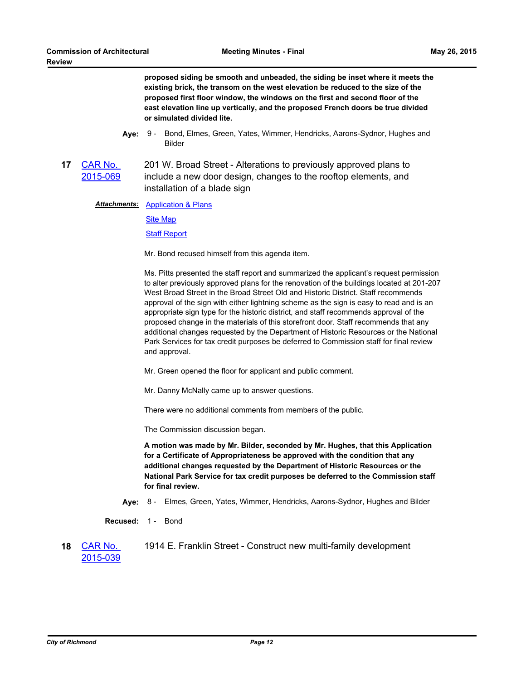**proposed siding be smooth and unbeaded, the siding be inset where it meets the existing brick, the transom on the west elevation be reduced to the size of the proposed first floor window, the windows on the first and second floor of the east elevation line up vertically, and the proposed French doors be true divided or simulated divided lite.**

- **Aye:** Bond, Elmes, Green, Yates, Wimmer, Hendricks, Aarons-Sydnor, Hughes and Bilder Ave: 9 -
- **17** CAR No. [2015-069](http://richmondva.legistar.com/gateway.aspx?m=l&id=/matter.aspx?key=21058) 201 W. Broad Street - Alterations to previously approved plans to include a new door design, changes to the rooftop elements, and installation of a blade sign

**Attachments: [Application & Plans](http://richmondva.legistar.com/gateway.aspx?M=F&ID=cbbbbcb9-83e3-45fd-a3e9-dafa31be2c18.pdf)** 

[Site Map](http://richmondva.legistar.com/gateway.aspx?M=F&ID=07f6f29c-adc7-4b10-94e5-c4da343f5b7d.pdf)

[Staff Report](http://richmondva.legistar.com/gateway.aspx?M=F&ID=b17b318d-65fa-405b-80b1-3eea35d26e48.pdf)

Mr. Bond recused himself from this agenda item.

Ms. Pitts presented the staff report and summarized the applicant's request permission to alter previously approved plans for the renovation of the buildings located at 201-207 West Broad Street in the Broad Street Old and Historic District. Staff recommends approval of the sign with either lightning scheme as the sign is easy to read and is an appropriate sign type for the historic district, and staff recommends approval of the proposed change in the materials of this storefront door. Staff recommends that any additional changes requested by the Department of Historic Resources or the National Park Services for tax credit purposes be deferred to Commission staff for final review and approval.

Mr. Green opened the floor for applicant and public comment.

Mr. Danny McNally came up to answer questions.

There were no additional comments from members of the public.

The Commission discussion began.

**A motion was made by Mr. Bilder, seconded by Mr. Hughes, that this Application for a Certificate of Appropriateness be approved with the condition that any additional changes requested by the Department of Historic Resources or the National Park Service for tax credit purposes be deferred to the Commission staff for final review.**

- **Aye:** 8 Elmes, Green, Yates, Wimmer, Hendricks, Aarons-Sydnor, Hughes and Bilder
- **Recused:** 1 Bond
- **18** CAR No. [2015-039](http://richmondva.legistar.com/gateway.aspx?m=l&id=/matter.aspx?key=21016) 1914 E. Franklin Street - Construct new multi-family development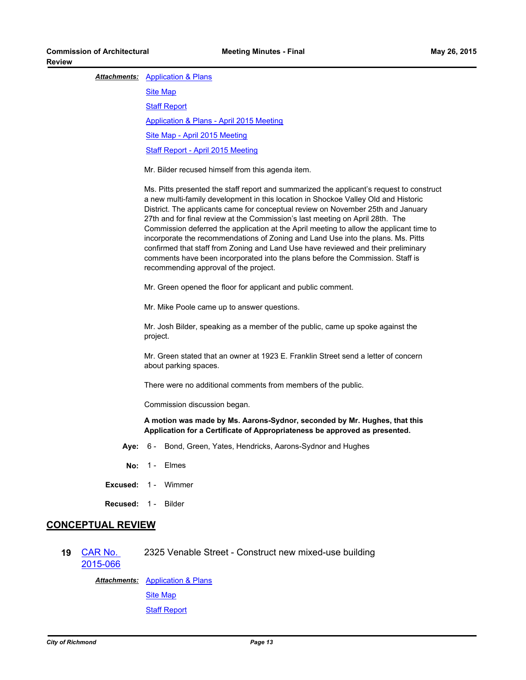### **Attachments: [Application & Plans](http://richmondva.legistar.com/gateway.aspx?M=F&ID=a034b8d5-ed89-4446-a7bf-2ec4789b0d3b.pdf)**

**[Site Map](http://richmondva.legistar.com/gateway.aspx?M=F&ID=6c11e6f3-bbfa-4a9a-b9ad-2ea1d082efc6.pdf)** [Staff Report](http://richmondva.legistar.com/gateway.aspx?M=F&ID=a339c892-b7c4-46d3-8629-fea2549aa5e1.pdf) [Application & Plans - April 2015 Meeting](http://richmondva.legistar.com/gateway.aspx?M=F&ID=59124e8b-9f1d-4217-9877-3155b5099c16.pdf) [Site Map - April 2015 Meeting](http://richmondva.legistar.com/gateway.aspx?M=F&ID=3869341a-a2b5-46d6-a9d1-75ae8cd6ee6b.pdf) [Staff Report - April 2015 Meeting](http://richmondva.legistar.com/gateway.aspx?M=F&ID=694af614-e8fa-4a96-99a7-df78a3391157.pdf)

Mr. Bilder recused himself from this agenda item.

Ms. Pitts presented the staff report and summarized the applicant's request to construct a new multi-family development in this location in Shockoe Valley Old and Historic District. The applicants came for conceptual review on November 25th and January 27th and for final review at the Commission's last meeting on April 28th. The Commission deferred the application at the April meeting to allow the applicant time to incorporate the recommendations of Zoning and Land Use into the plans. Ms. Pitts confirmed that staff from Zoning and Land Use have reviewed and their preliminary comments have been incorporated into the plans before the Commission. Staff is recommending approval of the project.

Mr. Green opened the floor for applicant and public comment.

Mr. Mike Poole came up to answer questions.

Mr. Josh Bilder, speaking as a member of the public, came up spoke against the project.

Mr. Green stated that an owner at 1923 E. Franklin Street send a letter of concern about parking spaces.

There were no additional comments from members of the public.

Commission discussion began.

**A motion was made by Ms. Aarons-Sydnor, seconded by Mr. Hughes, that this Application for a Certificate of Appropriateness be approved as presented.**

- **Aye:** 6 Bond, Green, Yates, Hendricks, Aarons-Sydnor and Hughes
- **No:** 1 Elmes
- **Excused:** 1 Wimmer
- **Recused:** 1 Bilder

# **CONCEPTUAL REVIEW**

**19** CAR No. [2015-066](http://richmondva.legistar.com/gateway.aspx?m=l&id=/matter.aspx?key=21059) 2325 Venable Street - Construct new mixed-use building

> **Attachments: [Application & Plans](http://richmondva.legistar.com/gateway.aspx?M=F&ID=f0a27789-db9b-4d5c-9e65-9c9e76703836.pdf) [Site Map](http://richmondva.legistar.com/gateway.aspx?M=F&ID=6aa4ebe0-3d41-4bb0-8eeb-a115b0412cca.pdf)** [Staff Report](http://richmondva.legistar.com/gateway.aspx?M=F&ID=4b00bfb5-8ac7-4e80-b0fc-7ed67d275188.pdf)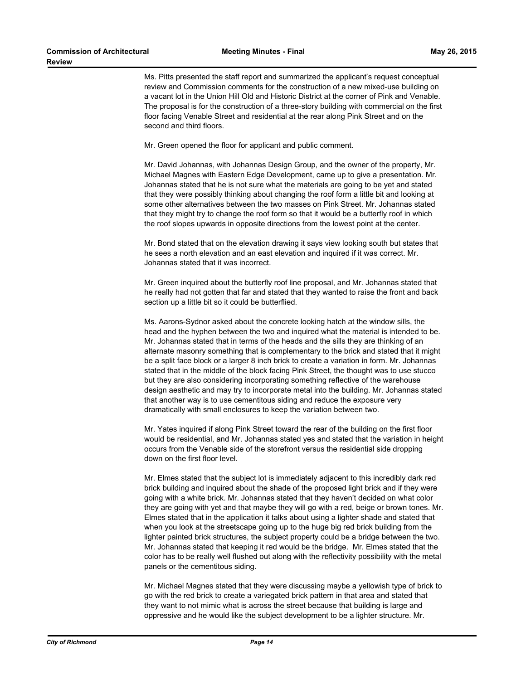Ms. Pitts presented the staff report and summarized the applicant's request conceptual review and Commission comments for the construction of a new mixed-use building on a vacant lot in the Union Hill Old and Historic District at the corner of Pink and Venable. The proposal is for the construction of a three-story building with commercial on the first floor facing Venable Street and residential at the rear along Pink Street and on the second and third floors.

Mr. Green opened the floor for applicant and public comment.

Mr. David Johannas, with Johannas Design Group, and the owner of the property, Mr. Michael Magnes with Eastern Edge Development, came up to give a presentation. Mr. Johannas stated that he is not sure what the materials are going to be yet and stated that they were possibly thinking about changing the roof form a little bit and looking at some other alternatives between the two masses on Pink Street. Mr. Johannas stated that they might try to change the roof form so that it would be a butterfly roof in which the roof slopes upwards in opposite directions from the lowest point at the center.

Mr. Bond stated that on the elevation drawing it says view looking south but states that he sees a north elevation and an east elevation and inquired if it was correct. Mr. Johannas stated that it was incorrect.

Mr. Green inquired about the butterfly roof line proposal, and Mr. Johannas stated that he really had not gotten that far and stated that they wanted to raise the front and back section up a little bit so it could be butterflied.

Ms. Aarons-Sydnor asked about the concrete looking hatch at the window sills, the head and the hyphen between the two and inquired what the material is intended to be. Mr. Johannas stated that in terms of the heads and the sills they are thinking of an alternate masonry something that is complementary to the brick and stated that it might be a split face block or a larger 8 inch brick to create a variation in form. Mr. Johannas stated that in the middle of the block facing Pink Street, the thought was to use stucco but they are also considering incorporating something reflective of the warehouse design aesthetic and may try to incorporate metal into the building. Mr. Johannas stated that another way is to use cementitous siding and reduce the exposure very dramatically with small enclosures to keep the variation between two.

Mr. Yates inquired if along Pink Street toward the rear of the building on the first floor would be residential, and Mr. Johannas stated yes and stated that the variation in height occurs from the Venable side of the storefront versus the residential side dropping down on the first floor level.

Mr. Elmes stated that the subject lot is immediately adjacent to this incredibly dark red brick building and inquired about the shade of the proposed light brick and if they were going with a white brick. Mr. Johannas stated that they haven't decided on what color they are going with yet and that maybe they will go with a red, beige or brown tones. Mr. Elmes stated that in the application it talks about using a lighter shade and stated that when you look at the streetscape going up to the huge big red brick building from the lighter painted brick structures, the subject property could be a bridge between the two. Mr. Johannas stated that keeping it red would be the bridge. Mr. Elmes stated that the color has to be really well flushed out along with the reflectivity possibility with the metal panels or the cementitous siding.

Mr. Michael Magnes stated that they were discussing maybe a yellowish type of brick to go with the red brick to create a variegated brick pattern in that area and stated that they want to not mimic what is across the street because that building is large and oppressive and he would like the subject development to be a lighter structure. Mr.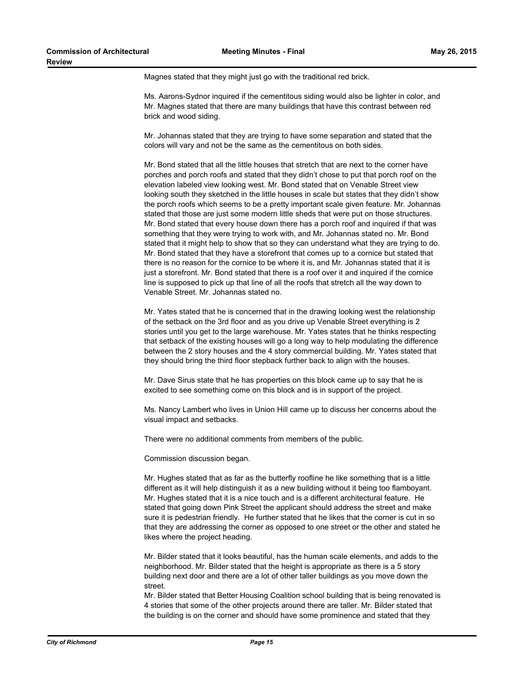Magnes stated that they might just go with the traditional red brick.

Ms. Aarons-Sydnor inquired if the cementitous siding would also be lighter in color, and Mr. Magnes stated that there are many buildings that have this contrast between red brick and wood siding.

Mr. Johannas stated that they are trying to have some separation and stated that the colors will vary and not be the same as the cementitous on both sides.

Mr. Bond stated that all the little houses that stretch that are next to the corner have porches and porch roofs and stated that they didn't chose to put that porch roof on the elevation labeled view looking west. Mr. Bond stated that on Venable Street view looking south they sketched in the little houses in scale but states that they didn't show the porch roofs which seems to be a pretty important scale given feature. Mr. Johannas stated that those are just some modern little sheds that were put on those structures. Mr. Bond stated that every house down there has a porch roof and inquired if that was something that they were trying to work with, and Mr. Johannas stated no. Mr. Bond stated that it might help to show that so they can understand what they are trying to do. Mr. Bond stated that they have a storefront that comes up to a cornice but stated that there is no reason for the cornice to be where it is, and Mr. Johannas stated that it is just a storefront. Mr. Bond stated that there is a roof over it and inquired if the cornice line is supposed to pick up that line of all the roofs that stretch all the way down to Venable Street. Mr. Johannas stated no.

Mr. Yates stated that he is concerned that in the drawing looking west the relationship of the setback on the 3rd floor and as you drive up Venable Street everything is 2 stories until you get to the large warehouse. Mr. Yates states that he thinks respecting that setback of the existing houses will go a long way to help modulating the difference between the 2 story houses and the 4 story commercial building. Mr. Yates stated that they should bring the third floor stepback further back to align with the houses.

Mr. Dave Sirus state that he has properties on this block came up to say that he is excited to see something come on this block and is in support of the project.

Ms. Nancy Lambert who lives in Union Hill came up to discuss her concerns about the visual impact and setbacks.

There were no additional comments from members of the public.

Commission discussion began.

Mr. Hughes stated that as far as the butterfly roofline he like something that is a little different as it will help distinguish it as a new building without it being too flamboyant. Mr. Hughes stated that it is a nice touch and is a different architectural feature. He stated that going down Pink Street the applicant should address the street and make sure it is pedestrian friendly. He further stated that he likes that the corner is cut in so that they are addressing the corner as opposed to one street or the other and stated he likes where the project heading.

Mr. Bilder stated that it looks beautiful, has the human scale elements, and adds to the neighborhood. Mr. Bilder stated that the height is appropriate as there is a 5 story building next door and there are a lot of other taller buildings as you move down the street.

Mr. Bilder stated that Better Housing Coalition school building that is being renovated is 4 stories that some of the other projects around there are taller. Mr. Bilder stated that the building is on the corner and should have some prominence and stated that they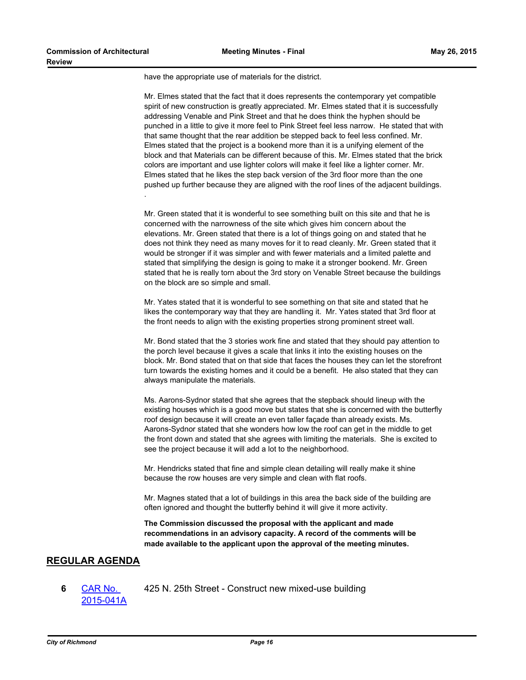have the appropriate use of materials for the district.

Mr. Elmes stated that the fact that it does represents the contemporary yet compatible spirit of new construction is greatly appreciated. Mr. Elmes stated that it is successfully addressing Venable and Pink Street and that he does think the hyphen should be punched in a little to give it more feel to Pink Street feel less narrow. He stated that with that same thought that the rear addition be stepped back to feel less confined. Mr. Elmes stated that the project is a bookend more than it is a unifying element of the block and that Materials can be different because of this. Mr. Elmes stated that the brick colors are important and use lighter colors will make it feel like a lighter corner. Mr. Elmes stated that he likes the step back version of the 3rd floor more than the one pushed up further because they are aligned with the roof lines of the adjacent buildings. .

Mr. Green stated that it is wonderful to see something built on this site and that he is concerned with the narrowness of the site which gives him concern about the elevations. Mr. Green stated that there is a lot of things going on and stated that he does not think they need as many moves for it to read cleanly. Mr. Green stated that it would be stronger if it was simpler and with fewer materials and a limited palette and stated that simplifying the design is going to make it a stronger bookend. Mr. Green stated that he is really torn about the 3rd story on Venable Street because the buildings on the block are so simple and small.

Mr. Yates stated that it is wonderful to see something on that site and stated that he likes the contemporary way that they are handling it. Mr. Yates stated that 3rd floor at the front needs to align with the existing properties strong prominent street wall.

Mr. Bond stated that the 3 stories work fine and stated that they should pay attention to the porch level because it gives a scale that links it into the existing houses on the block. Mr. Bond stated that on that side that faces the houses they can let the storefront turn towards the existing homes and it could be a benefit. He also stated that they can always manipulate the materials.

Ms. Aarons-Sydnor stated that she agrees that the stepback should lineup with the existing houses which is a good move but states that she is concerned with the butterfly roof design because it will create an even taller façade than already exists. Ms. Aarons-Sydnor stated that she wonders how low the roof can get in the middle to get the front down and stated that she agrees with limiting the materials. She is excited to see the project because it will add a lot to the neighborhood.

Mr. Hendricks stated that fine and simple clean detailing will really make it shine because the row houses are very simple and clean with flat roofs.

Mr. Magnes stated that a lot of buildings in this area the back side of the building are often ignored and thought the butterfly behind it will give it more activity.

**The Commission discussed the proposal with the applicant and made recommendations in an advisory capacity. A record of the comments will be made available to the applicant upon the approval of the meeting minutes.**

# **REGULAR AGENDA**

**6** CAR No. [2015-041A](http://richmondva.legistar.com/gateway.aspx?m=l&id=/matter.aspx?key=21060) 425 N. 25th Street - Construct new mixed-use building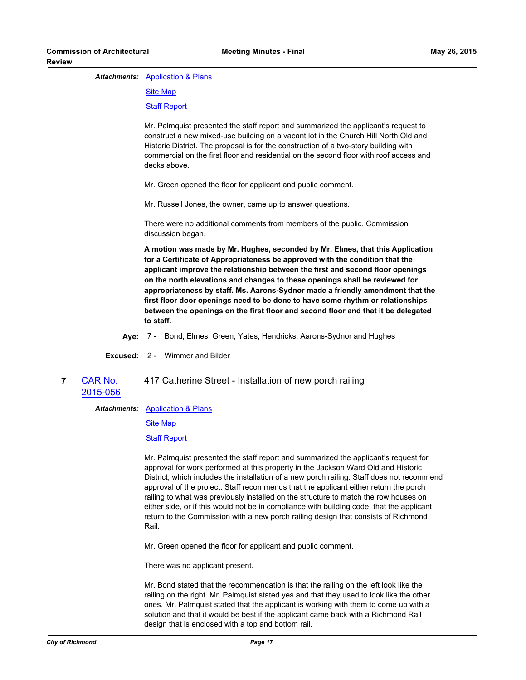## **Attachments: [Application & Plans](http://richmondva.legistar.com/gateway.aspx?M=F&ID=e20ff635-5126-4196-a1a7-01ef0d872149.pdf)**

[Site Map](http://richmondva.legistar.com/gateway.aspx?M=F&ID=81da1517-9ada-4cd5-b1c8-7326717c6970.pdf)

[Staff Report](http://richmondva.legistar.com/gateway.aspx?M=F&ID=d7a62775-95e6-4da2-a45c-cef83aec2f5b.pdf)

Mr. Palmquist presented the staff report and summarized the applicant's request to construct a new mixed-use building on a vacant lot in the Church Hill North Old and Historic District. The proposal is for the construction of a two-story building with commercial on the first floor and residential on the second floor with roof access and decks above.

Mr. Green opened the floor for applicant and public comment.

Mr. Russell Jones, the owner, came up to answer questions.

There were no additional comments from members of the public. Commission discussion began.

**A motion was made by Mr. Hughes, seconded by Mr. Elmes, that this Application for a Certificate of Appropriateness be approved with the condition that the applicant improve the relationship between the first and second floor openings on the north elevations and changes to these openings shall be reviewed for appropriateness by staff. Ms. Aarons-Sydnor made a friendly amendment that the first floor door openings need to be done to have some rhythm or relationships between the openings on the first floor and second floor and that it be delegated to staff.**

**Aye:** 7 - Bond, Elmes, Green, Yates, Hendricks, Aarons-Sydnor and Hughes

**Excused:** 2 - Wimmer and Bilder

**7** CAR No. [2015-056](http://richmondva.legistar.com/gateway.aspx?m=l&id=/matter.aspx?key=21049) 417 Catherine Street - Installation of new porch railing

**Attachments: [Application & Plans](http://richmondva.legistar.com/gateway.aspx?M=F&ID=4dc81a3f-1966-4893-9638-354766313c42.pdf)** 

[Site Map](http://richmondva.legistar.com/gateway.aspx?M=F&ID=362601ce-3a59-460f-a2b3-34fa98cb5a6a.pdf)

[Staff Report](http://richmondva.legistar.com/gateway.aspx?M=F&ID=38a9c8f5-9f95-4eae-af9f-31b470531bc4.pdf)

Mr. Palmquist presented the staff report and summarized the applicant's request for approval for work performed at this property in the Jackson Ward Old and Historic District, which includes the installation of a new porch railing. Staff does not recommend approval of the project. Staff recommends that the applicant either return the porch railing to what was previously installed on the structure to match the row houses on either side, or if this would not be in compliance with building code, that the applicant return to the Commission with a new porch railing design that consists of Richmond Rail.

Mr. Green opened the floor for applicant and public comment.

There was no applicant present.

Mr. Bond stated that the recommendation is that the railing on the left look like the railing on the right. Mr. Palmquist stated yes and that they used to look like the other ones. Mr. Palmquist stated that the applicant is working with them to come up with a solution and that it would be best if the applicant came back with a Richmond Rail design that is enclosed with a top and bottom rail.